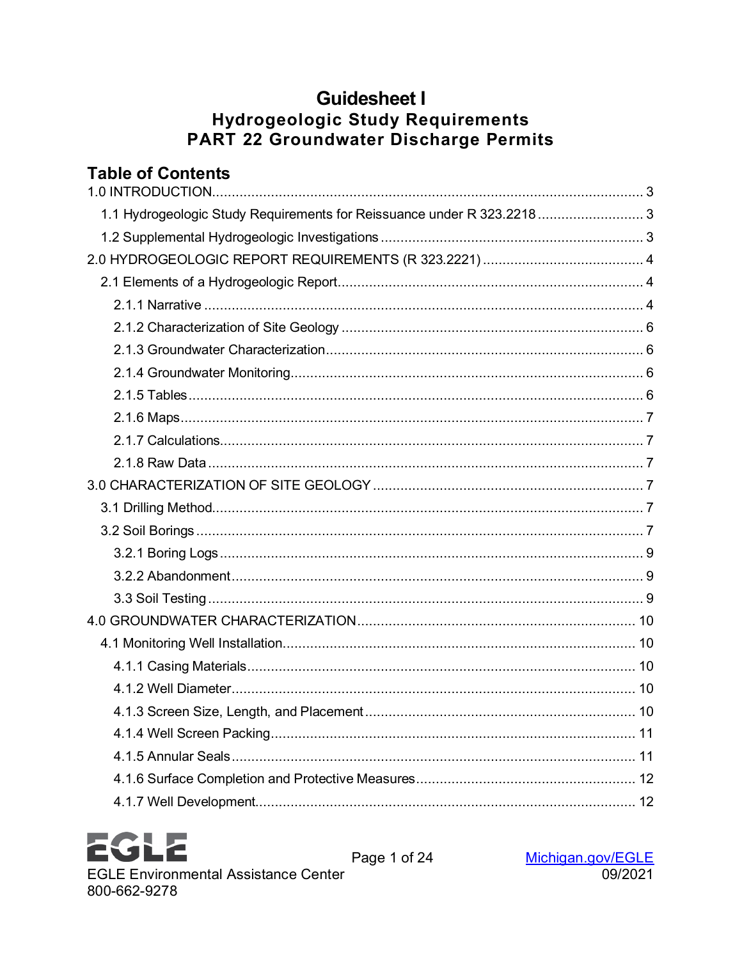# **Guidesheet I Hydrogeologic Study Requirements** PART 22 Groundwater Discharge Permits

# **Table of Contents**

| 1.1 Hydrogeologic Study Requirements for Reissuance under R 323.2218 3 |
|------------------------------------------------------------------------|
|                                                                        |
|                                                                        |
|                                                                        |
|                                                                        |
|                                                                        |
|                                                                        |
|                                                                        |
|                                                                        |
|                                                                        |
|                                                                        |
|                                                                        |
|                                                                        |
|                                                                        |
|                                                                        |
|                                                                        |
|                                                                        |
|                                                                        |
|                                                                        |
|                                                                        |
|                                                                        |
|                                                                        |
|                                                                        |
|                                                                        |
|                                                                        |
|                                                                        |
|                                                                        |

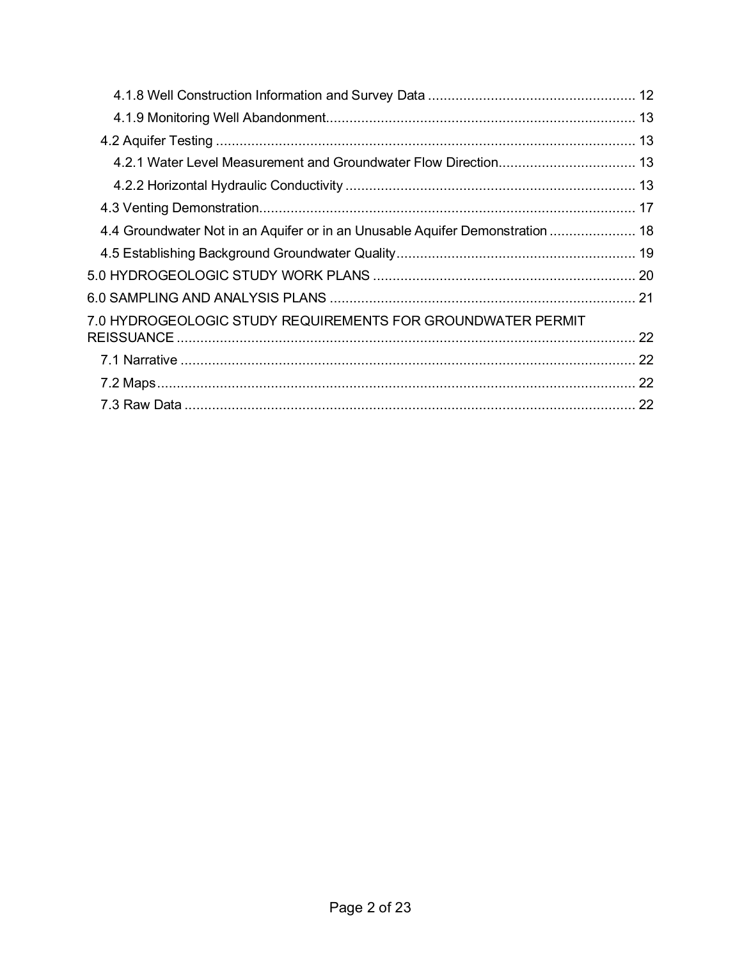| 4.4 Groundwater Not in an Aquifer or in an Unusable Aquifer Demonstration  18 |  |
|-------------------------------------------------------------------------------|--|
|                                                                               |  |
|                                                                               |  |
|                                                                               |  |
| 7.0 HYDROGEOLOGIC STUDY REQUIREMENTS FOR GROUNDWATER PERMIT                   |  |
|                                                                               |  |
|                                                                               |  |
|                                                                               |  |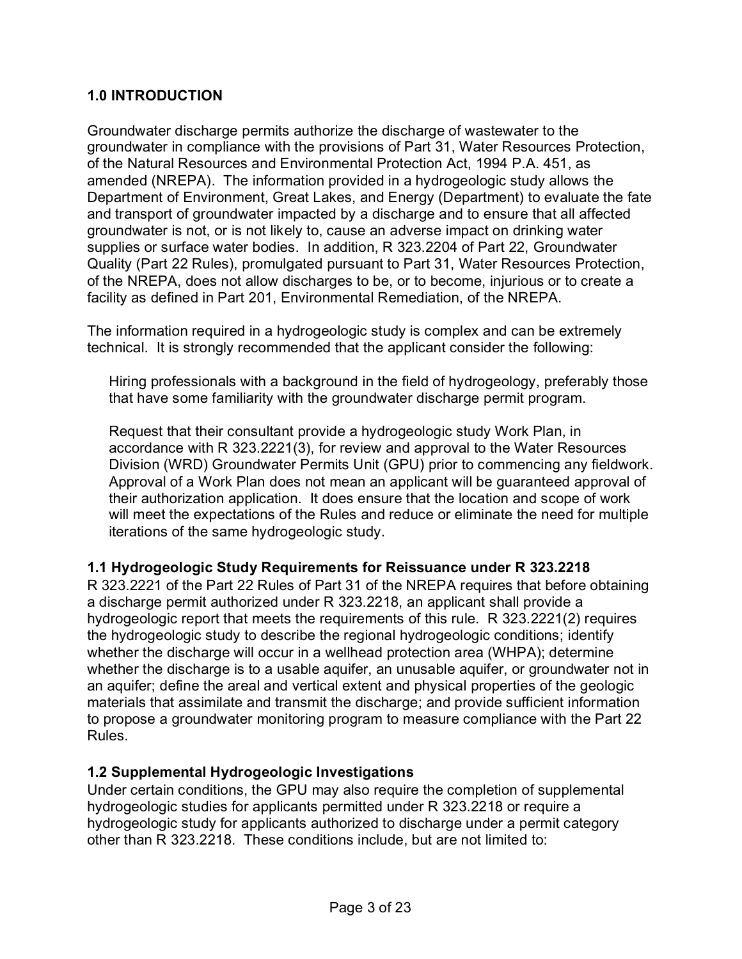#### <span id="page-2-0"></span>**1.0 INTRODUCTION**

Groundwater discharge permits authorize the discharge of wastewater to the groundwater in compliance with the provisions of Part 31, Water Resources Protection, of the Natural Resources and Environmental Protection Act, 1994 P.A. 451, as amended (NREPA). The information provided in a hydrogeologic study allows the Department of Environment, Great Lakes, and Energy (Department) to evaluate the fate and transport of groundwater impacted by a discharge and to ensure that all affected groundwater is not, or is not likely to, cause an adverse impact on drinking water supplies or surface water bodies. In addition, R 323.2204 of Part 22, Groundwater Quality (Part 22 Rules), promulgated pursuant to Part 31, Water Resources Protection, of the NREPA, does not allow discharges to be, or to become, injurious or to create a facility as defined in Part 201, Environmental Remediation, of the NREPA.

The information required in a hydrogeologic study is complex and can be extremely technical. It is strongly recommended that the applicant consider the following:

Hiring professionals with a background in the field of hydrogeology, preferably those that have some familiarity with the groundwater discharge permit program.

Request that their consultant provide a hydrogeologic study Work Plan, in accordance with R 323.2221(3), for review and approval to the Water Resources Division (WRD) Groundwater Permits Unit (GPU) prior to commencing any fieldwork. Approval of a Work Plan does not mean an applicant will be guaranteed approval of their authorization application. It does ensure that the location and scope of work will meet the expectations of the Rules and reduce or eliminate the need for multiple iterations of the same hydrogeologic study.

#### <span id="page-2-1"></span>**1.1 Hydrogeologic Study Requirements for Reissuance under R 323.2218**

R 323.2221 of the Part 22 Rules of Part 31 of the NREPA requires that before obtaining a discharge permit authorized under R 323.2218, an applicant shall provide a hydrogeologic report that meets the requirements of this rule. R 323.2221(2) requires the hydrogeologic study to describe the regional hydrogeologic conditions; identify whether the discharge will occur in a wellhead protection area (WHPA); determine whether the discharge is to a usable aquifer, an unusable aquifer, or groundwater not in an aquifer; define the areal and vertical extent and physical properties of the geologic materials that assimilate and transmit the discharge; and provide sufficient information to propose a groundwater monitoring program to measure compliance with the Part 22 Rules.

#### <span id="page-2-2"></span>**1.2 Supplemental Hydrogeologic Investigations**

Under certain conditions, the GPU may also require the completion of supplemental hydrogeologic studies for applicants permitted under R 323.2218 or require a hydrogeologic study for applicants authorized to discharge under a permit category other than R 323.2218. These conditions include, but are not limited to: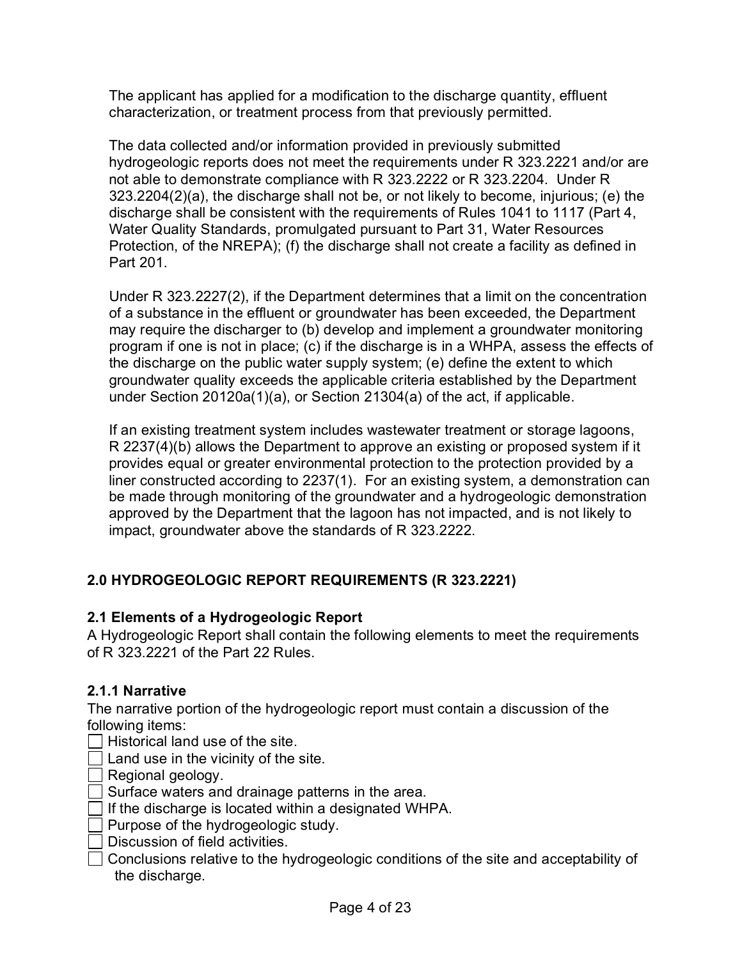The applicant has applied for a modification to the discharge quantity, effluent characterization, or treatment process from that previously permitted.

The data collected and/or information provided in previously submitted hydrogeologic reports does not meet the requirements under R 323.2221 and/or are not able to demonstrate compliance with R 323.2222 or R 323.2204. Under R 323.2204(2)(a), the discharge shall not be, or not likely to become, injurious; (e) the discharge shall be consistent with the requirements of Rules 1041 to 1117 (Part 4, Water Quality Standards, promulgated pursuant to Part 31, Water Resources Protection, of the NREPA); (f) the discharge shall not create a facility as defined in Part 201.

Under R 323.2227(2), if the Department determines that a limit on the concentration of a substance in the effluent or groundwater has been exceeded, the Department may require the discharger to (b) develop and implement a groundwater monitoring program if one is not in place; (c) if the discharge is in a WHPA, assess the effects of the discharge on the public water supply system; (e) define the extent to which groundwater quality exceeds the applicable criteria established by the Department under Section 20120a(1)(a), or Section 21304(a) of the act, if applicable.

If an existing treatment system includes wastewater treatment or storage lagoons, R 2237(4)(b) allows the Department to approve an existing or proposed system if it provides equal or greater environmental protection to the protection provided by a liner constructed according to 2237(1). For an existing system, a demonstration can be made through monitoring of the groundwater and a hydrogeologic demonstration approved by the Department that the lagoon has not impacted, and is not likely to impact, groundwater above the standards of R 323.2222.

# <span id="page-3-0"></span>**2.0 HYDROGEOLOGIC REPORT REQUIREMENTS (R 323.2221)**

# <span id="page-3-1"></span>**2.1 Elements of a Hydrogeologic Report**

A Hydrogeologic Report shall contain the following elements to meet the requirements of R 323.2221 of the Part 22 Rules.

# <span id="page-3-2"></span>**2.1.1 Narrative**

The narrative portion of the hydrogeologic report must contain a discussion of the following items:

- $\exists$  Historical land use of the site.
- Land use in the vicinity of the site.

Regional geology.

- Surface waters and drainage patterns in the area.
- $\Box$  If the discharge is located within a designated WHPA.
- Purpose of the hydrogeologic study.
- Discussion of field activities.
- Conclusions relative to the hydrogeologic conditions of the site and acceptability of the discharge.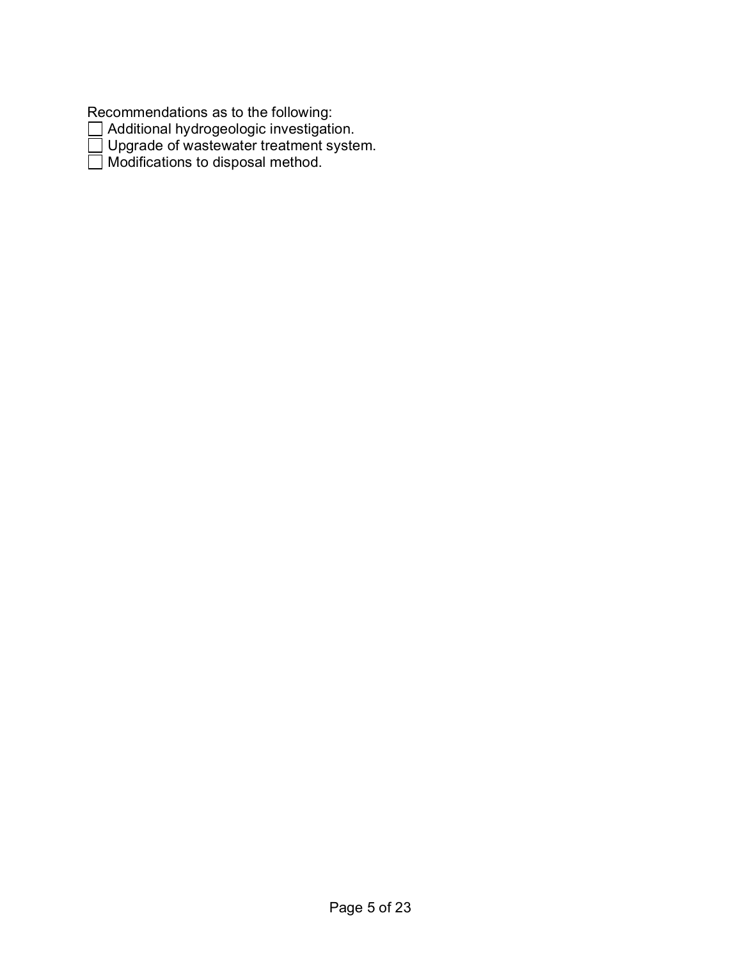Recommendations as to the following:

Additional hydrogeologic investigation.

Upgrade of wastewater treatment system.

Modifications to disposal method.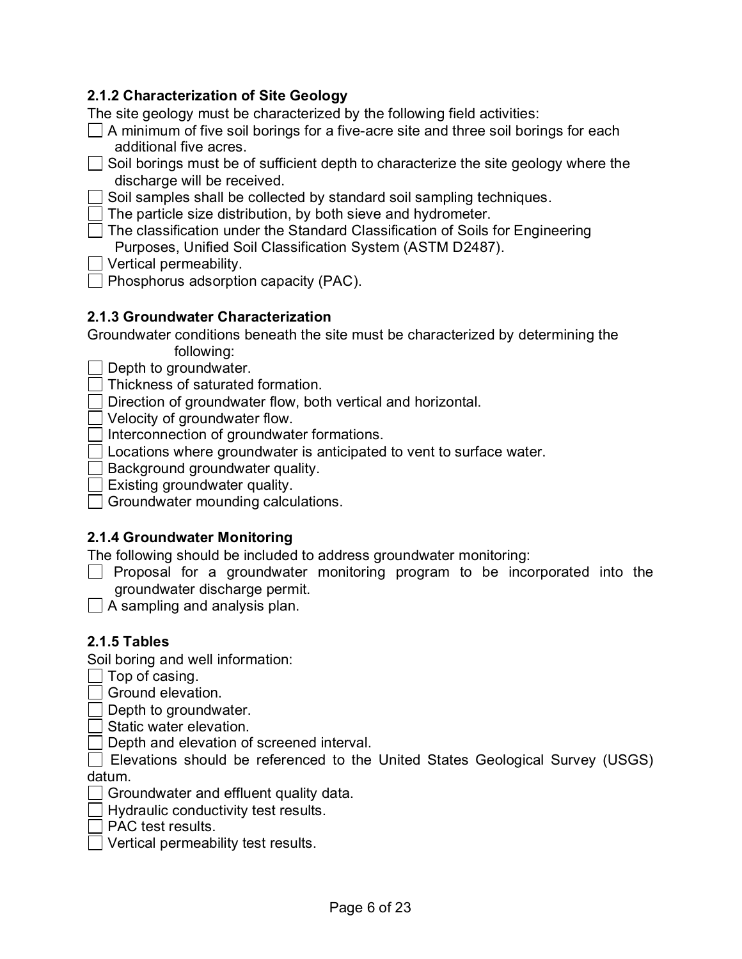#### <span id="page-5-0"></span>**2.1.2 Characterization of Site Geology**

The site geology must be characterized by the following field activities:

- $\Box$  A minimum of five soil borings for a five-acre site and three soil borings for each additional five acres.
- $\Box$  Soil borings must be of sufficient depth to characterize the site geology where the discharge will be received.

 $\Box$  Soil samples shall be collected by standard soil sampling techniques.

 $\Box$  The particle size distribution, by both sieve and hydrometer.

◯ The classification under the Standard Classification of Soils for Engineering Purposes, Unified Soil Classification System (ASTM D2487).

- $\Box$  Vertical permeability.
- $\Box$  Phosphorus adsorption capacity (PAC).

#### <span id="page-5-1"></span>**2.1.3 Groundwater Characterization**

Groundwater conditions beneath the site must be characterized by determining the following:

 $\Box$  Depth to groundwater.

Thickness of saturated formation.

Direction of groundwater flow, both vertical and horizontal.

Velocity of groundwater flow.

 $\Box$  Interconnection of groundwater formations.

Locations where groundwater is anticipated to vent to surface water.

Background groundwater quality.

 $\Box$  Existing groundwater quality.

Groundwater mounding calculations.

#### <span id="page-5-2"></span>**2.1.4 Groundwater Monitoring**

The following should be included to address groundwater monitoring:

 $\Box$  Proposal for a groundwater monitoring program to be incorporated into the groundwater discharge permit.

 $\Box$  A sampling and analysis plan.

#### <span id="page-5-3"></span>**2.1.5 Tables**

Soil boring and well information:

- $\Box$  Top of casing.
- $\sqcap$  Ground elevation.

 $\Box$  Depth to groundwater.

- Static water elevation.
- Depth and elevation of screened interval.

Elevations should be referenced to the United States Geological Survey (USGS) datum.

Groundwater and effluent quality data.

 $\Box$  Hydraulic conductivity test results.

 $\sqcap$  PAC test results.

 $\Box$  Vertical permeability test results.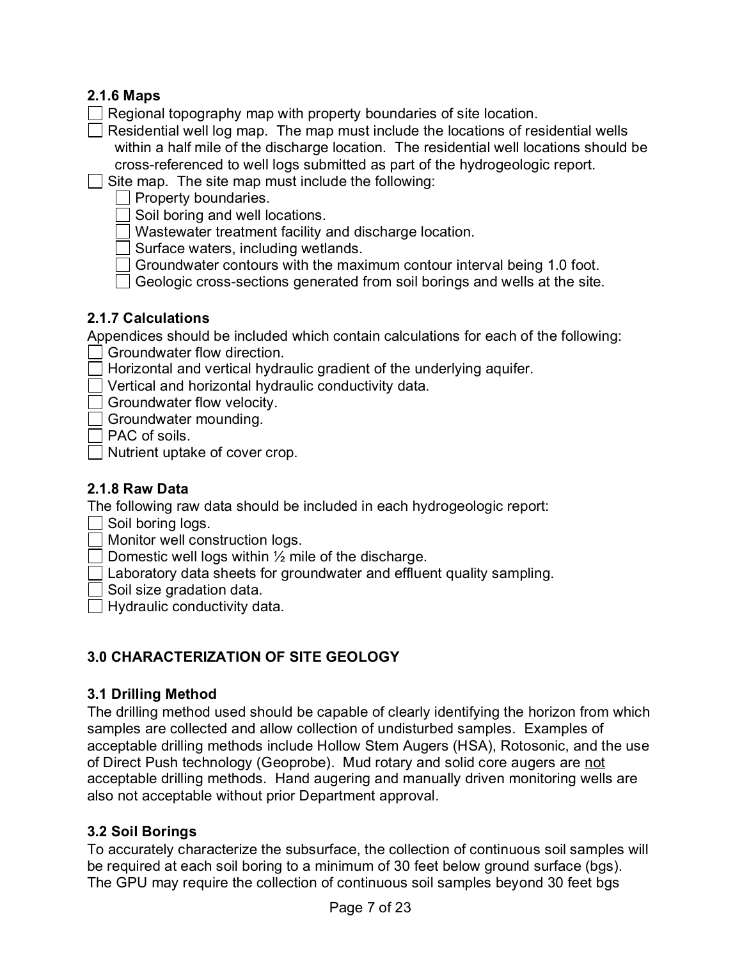# <span id="page-6-0"></span>**2.1.6 Maps**

- Regional topography map with property boundaries of site location.
- $\Box$  Residential well log map. The map must include the locations of residential wells within a half mile of the discharge location. The residential well locations should be cross-referenced to well logs submitted as part of the hydrogeologic report.
- $\Box$  Site map. The site map must include the following:

 $\Box$  Property boundaries.

 $\Box$  Soil boring and well locations.

Wastewater treatment facility and discharge location.

 $\Box$  Surface waters, including wetlands.

- Groundwater contours with the maximum contour interval being 1.0 foot.
- $\Box$  Geologic cross-sections generated from soil borings and wells at the site.

#### <span id="page-6-1"></span>**2.1.7 Calculations**

Appendices should be included which contain calculations for each of the following:

- Groundwater flow direction.
- Horizontal and vertical hydraulic gradient of the underlying aquifer.
- Vertical and horizontal hydraulic conductivity data.
- Groundwater flow velocity.
- Groundwater mounding.

 $\sqcap$  PAC of soils.

Nutrient uptake of cover crop.

#### <span id="page-6-2"></span>**2.1.8 Raw Data**

The following raw data should be included in each hydrogeologic report:

 $\Box$  Soil boring logs.

Monitor well construction logs.

Domestic well logs within  $\frac{1}{2}$  mile of the discharge.

- Laboratory data sheets for groundwater and effluent quality sampling.
- $\overline{\phantom{a}}$  Soil size gradation data.

 $\Box$  Hydraulic conductivity data.

# <span id="page-6-3"></span>**3.0 CHARACTERIZATION OF SITE GEOLOGY**

#### <span id="page-6-4"></span>**3.1 Drilling Method**

The drilling method used should be capable of clearly identifying the horizon from which samples are collected and allow collection of undisturbed samples. Examples of acceptable drilling methods include Hollow Stem Augers (HSA), Rotosonic, and the use of Direct Push technology (Geoprobe). Mud rotary and solid core augers are not acceptable drilling methods. Hand augering and manually driven monitoring wells are also not acceptable without prior Department approval.

#### <span id="page-6-5"></span>**3.2 Soil Borings**

To accurately characterize the subsurface, the collection of continuous soil samples will be required at each soil boring to a minimum of 30 feet below ground surface (bgs). The GPU may require the collection of continuous soil samples beyond 30 feet bgs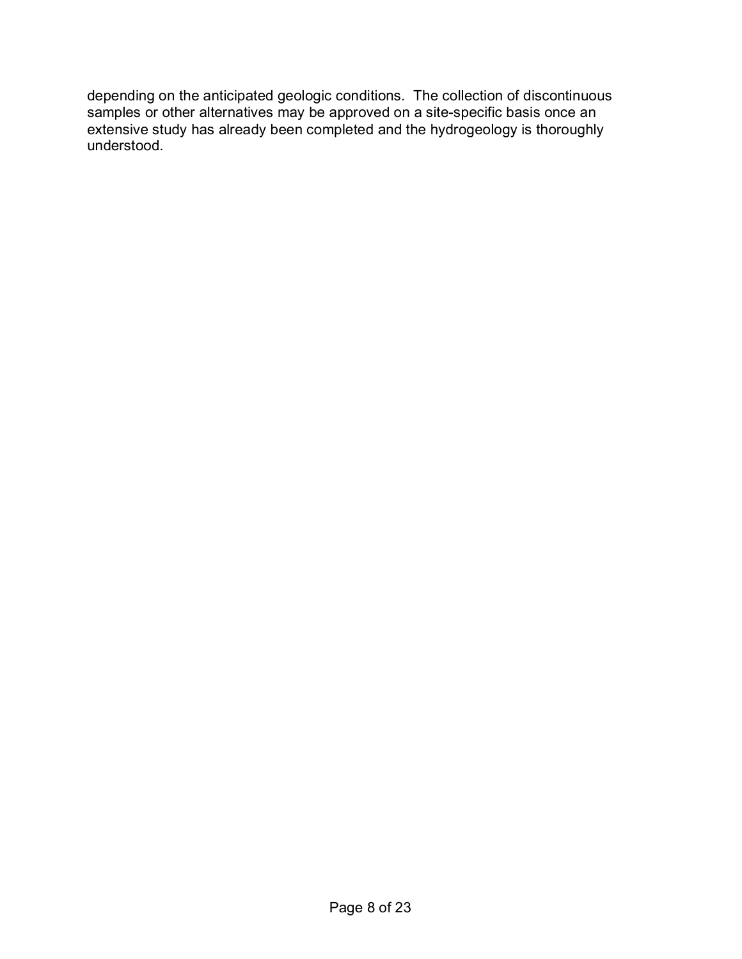depending on the anticipated geologic conditions. The collection of discontinuous samples or other alternatives may be approved on a site-specific basis once an extensive study has already been completed and the hydrogeology is thoroughly understood.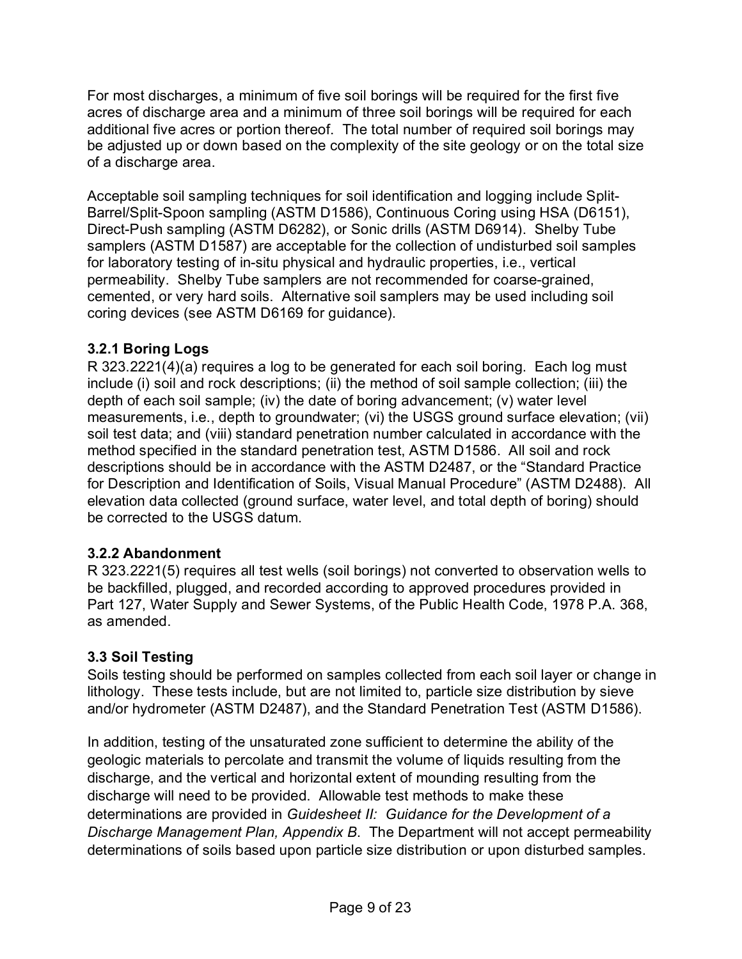For most discharges, a minimum of five soil borings will be required for the first five acres of discharge area and a minimum of three soil borings will be required for each additional five acres or portion thereof. The total number of required soil borings may be adjusted up or down based on the complexity of the site geology or on the total size of a discharge area.

Acceptable soil sampling techniques for soil identification and logging include Split-Barrel/Split-Spoon sampling (ASTM D1586), Continuous Coring using HSA (D6151), Direct-Push sampling (ASTM D6282), or Sonic drills (ASTM D6914). Shelby Tube samplers (ASTM D1587) are acceptable for the collection of undisturbed soil samples for laboratory testing of in-situ physical and hydraulic properties, i.e., vertical permeability. Shelby Tube samplers are not recommended for coarse-grained, cemented, or very hard soils. Alternative soil samplers may be used including soil coring devices (see ASTM D6169 for guidance).

## <span id="page-8-0"></span>**3.2.1 Boring Logs**

R 323.2221(4)(a) requires a log to be generated for each soil boring. Each log must include (i) soil and rock descriptions; (ii) the method of soil sample collection; (iii) the depth of each soil sample; (iv) the date of boring advancement; (v) water level measurements, i.e., depth to groundwater; (vi) the USGS ground surface elevation; (vii) soil test data; and (viii) standard penetration number calculated in accordance with the method specified in the standard penetration test, ASTM D1586. All soil and rock descriptions should be in accordance with the ASTM D2487, or the "Standard Practice for Description and Identification of Soils, Visual Manual Procedure" (ASTM D2488). All elevation data collected (ground surface, water level, and total depth of boring) should be corrected to the USGS datum.

#### <span id="page-8-1"></span>**3.2.2 Abandonment**

R 323.2221(5) requires all test wells (soil borings) not converted to observation wells to be backfilled, plugged, and recorded according to approved procedures provided in Part 127, Water Supply and Sewer Systems, of the Public Health Code, 1978 P.A. 368, as amended.

#### <span id="page-8-2"></span>**3.3 Soil Testing**

Soils testing should be performed on samples collected from each soil layer or change in lithology. These tests include, but are not limited to, particle size distribution by sieve and/or hydrometer (ASTM D2487), and the Standard Penetration Test (ASTM D1586).

In addition, testing of the unsaturated zone sufficient to determine the ability of the geologic materials to percolate and transmit the volume of liquids resulting from the discharge, and the vertical and horizontal extent of mounding resulting from the discharge will need to be provided. Allowable test methods to make these determinations are provided in *Guidesheet II: Guidance for the Development of a Discharge Management Plan, Appendix B*. The Department will not accept permeability determinations of soils based upon particle size distribution or upon disturbed samples.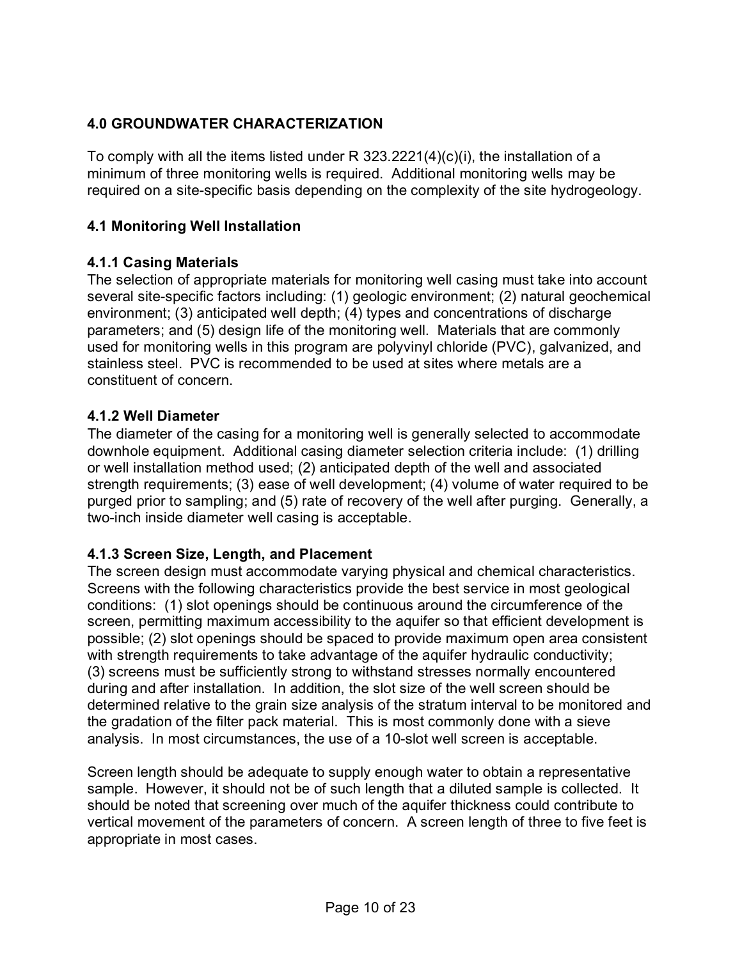## <span id="page-9-0"></span>**4.0 GROUNDWATER CHARACTERIZATION**

To comply with all the items listed under R 323.2221(4)(c)(i), the installation of a minimum of three monitoring wells is required. Additional monitoring wells may be required on a site-specific basis depending on the complexity of the site hydrogeology.

### <span id="page-9-1"></span>**4.1 Monitoring Well Installation**

#### <span id="page-9-2"></span>**4.1.1 Casing Materials**

The selection of appropriate materials for monitoring well casing must take into account several site-specific factors including: (1) geologic environment; (2) natural geochemical environment; (3) anticipated well depth; (4) types and concentrations of discharge parameters; and (5) design life of the monitoring well. Materials that are commonly used for monitoring wells in this program are polyvinyl chloride (PVC), galvanized, and stainless steel. PVC is recommended to be used at sites where metals are a constituent of concern.

#### <span id="page-9-3"></span>**4.1.2 Well Diameter**

The diameter of the casing for a monitoring well is generally selected to accommodate downhole equipment. Additional casing diameter selection criteria include: (1) drilling or well installation method used; (2) anticipated depth of the well and associated strength requirements; (3) ease of well development; (4) volume of water required to be purged prior to sampling; and (5) rate of recovery of the well after purging. Generally, a two-inch inside diameter well casing is acceptable.

# <span id="page-9-4"></span>**4.1.3 Screen Size, Length, and Placement**

The screen design must accommodate varying physical and chemical characteristics. Screens with the following characteristics provide the best service in most geological conditions: (1) slot openings should be continuous around the circumference of the screen, permitting maximum accessibility to the aquifer so that efficient development is possible; (2) slot openings should be spaced to provide maximum open area consistent with strength requirements to take advantage of the aquifer hydraulic conductivity; (3) screens must be sufficiently strong to withstand stresses normally encountered during and after installation. In addition, the slot size of the well screen should be determined relative to the grain size analysis of the stratum interval to be monitored and the gradation of the filter pack material. This is most commonly done with a sieve analysis. In most circumstances, the use of a 10-slot well screen is acceptable.

Screen length should be adequate to supply enough water to obtain a representative sample. However, it should not be of such length that a diluted sample is collected. It should be noted that screening over much of the aquifer thickness could contribute to vertical movement of the parameters of concern. A screen length of three to five feet is appropriate in most cases.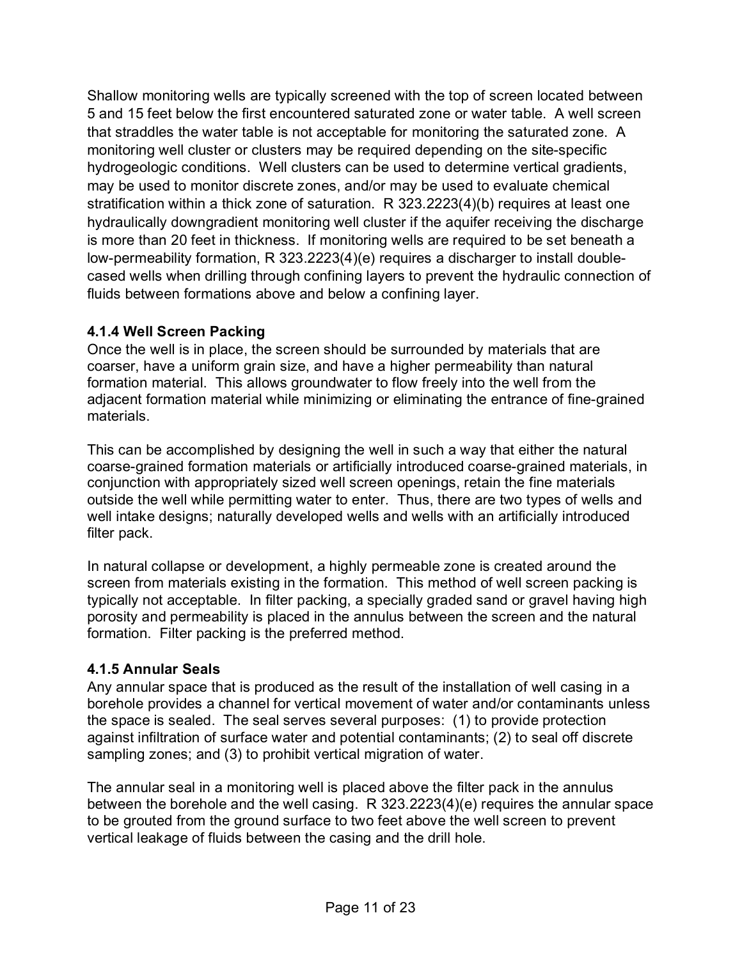Shallow monitoring wells are typically screened with the top of screen located between 5 and 15 feet below the first encountered saturated zone or water table. A well screen that straddles the water table is not acceptable for monitoring the saturated zone. A monitoring well cluster or clusters may be required depending on the site-specific hydrogeologic conditions. Well clusters can be used to determine vertical gradients, may be used to monitor discrete zones, and/or may be used to evaluate chemical stratification within a thick zone of saturation. R 323.2223(4)(b) requires at least one hydraulically downgradient monitoring well cluster if the aquifer receiving the discharge is more than 20 feet in thickness. If monitoring wells are required to be set beneath a low-permeability formation, R 323.2223(4)(e) requires a discharger to install doublecased wells when drilling through confining layers to prevent the hydraulic connection of fluids between formations above and below a confining layer.

#### <span id="page-10-0"></span>**4.1.4 Well Screen Packing**

Once the well is in place, the screen should be surrounded by materials that are coarser, have a uniform grain size, and have a higher permeability than natural formation material. This allows groundwater to flow freely into the well from the adjacent formation material while minimizing or eliminating the entrance of fine-grained materials.

This can be accomplished by designing the well in such a way that either the natural coarse-grained formation materials or artificially introduced coarse-grained materials, in conjunction with appropriately sized well screen openings, retain the fine materials outside the well while permitting water to enter. Thus, there are two types of wells and well intake designs; naturally developed wells and wells with an artificially introduced filter pack.

In natural collapse or development, a highly permeable zone is created around the screen from materials existing in the formation. This method of well screen packing is typically not acceptable. In filter packing, a specially graded sand or gravel having high porosity and permeability is placed in the annulus between the screen and the natural formation. Filter packing is the preferred method.

#### <span id="page-10-1"></span>**4.1.5 Annular Seals**

Any annular space that is produced as the result of the installation of well casing in a borehole provides a channel for vertical movement of water and/or contaminants unless the space is sealed. The seal serves several purposes: (1) to provide protection against infiltration of surface water and potential contaminants; (2) to seal off discrete sampling zones; and (3) to prohibit vertical migration of water.

The annular seal in a monitoring well is placed above the filter pack in the annulus between the borehole and the well casing. R 323.2223(4)(e) requires the annular space to be grouted from the ground surface to two feet above the well screen to prevent vertical leakage of fluids between the casing and the drill hole.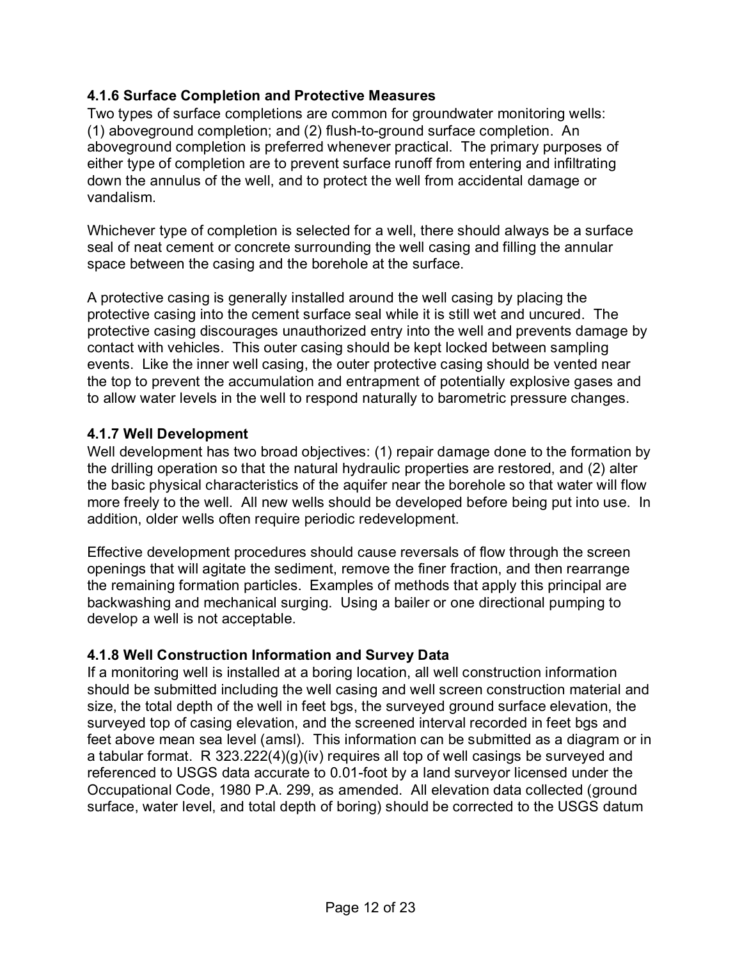### <span id="page-11-0"></span>**4.1.6 Surface Completion and Protective Measures**

Two types of surface completions are common for groundwater monitoring wells: (1) aboveground completion; and (2) flush-to-ground surface completion. An aboveground completion is preferred whenever practical. The primary purposes of either type of completion are to prevent surface runoff from entering and infiltrating down the annulus of the well, and to protect the well from accidental damage or vandalism.

Whichever type of completion is selected for a well, there should always be a surface seal of neat cement or concrete surrounding the well casing and filling the annular space between the casing and the borehole at the surface.

A protective casing is generally installed around the well casing by placing the protective casing into the cement surface seal while it is still wet and uncured. The protective casing discourages unauthorized entry into the well and prevents damage by contact with vehicles. This outer casing should be kept locked between sampling events. Like the inner well casing, the outer protective casing should be vented near the top to prevent the accumulation and entrapment of potentially explosive gases and to allow water levels in the well to respond naturally to barometric pressure changes.

## <span id="page-11-1"></span>**4.1.7 Well Development**

Well development has two broad objectives: (1) repair damage done to the formation by the drilling operation so that the natural hydraulic properties are restored, and (2) alter the basic physical characteristics of the aquifer near the borehole so that water will flow more freely to the well. All new wells should be developed before being put into use. In addition, older wells often require periodic redevelopment.

Effective development procedures should cause reversals of flow through the screen openings that will agitate the sediment, remove the finer fraction, and then rearrange the remaining formation particles. Examples of methods that apply this principal are backwashing and mechanical surging. Using a bailer or one directional pumping to develop a well is not acceptable.

# <span id="page-11-2"></span>**4.1.8 Well Construction Information and Survey Data**

If a monitoring well is installed at a boring location, all well construction information should be submitted including the well casing and well screen construction material and size, the total depth of the well in feet bgs, the surveyed ground surface elevation, the surveyed top of casing elevation, and the screened interval recorded in feet bgs and feet above mean sea level (amsl). This information can be submitted as a diagram or in a tabular format. R 323.222(4)(g)(iv) requires all top of well casings be surveyed and referenced to USGS data accurate to 0.01-foot by a land surveyor licensed under the Occupational Code, 1980 P.A. 299, as amended. All elevation data collected (ground surface, water level, and total depth of boring) should be corrected to the USGS datum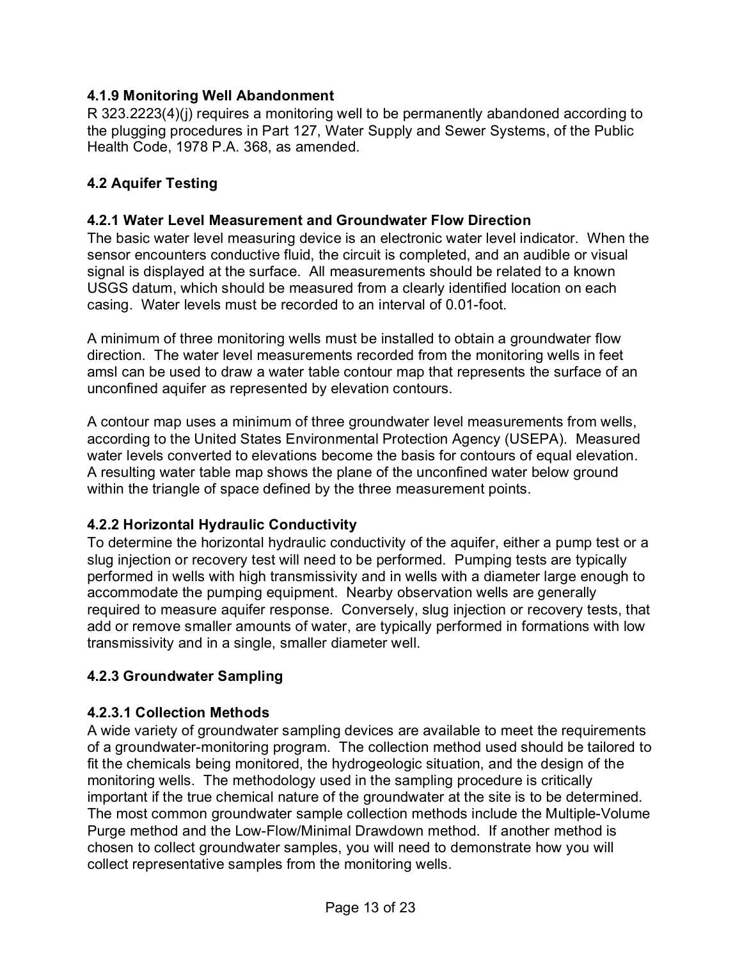### <span id="page-12-0"></span>**4.1.9 Monitoring Well Abandonment**

R 323.2223(4)(j) requires a monitoring well to be permanently abandoned according to the plugging procedures in Part 127, Water Supply and Sewer Systems, of the Public Health Code, 1978 P.A. 368, as amended.

## <span id="page-12-1"></span>**4.2 Aquifer Testing**

#### <span id="page-12-2"></span>**4.2.1 Water Level Measurement and Groundwater Flow Direction**

The basic water level measuring device is an electronic water level indicator. When the sensor encounters conductive fluid, the circuit is completed, and an audible or visual signal is displayed at the surface. All measurements should be related to a known USGS datum, which should be measured from a clearly identified location on each casing. Water levels must be recorded to an interval of 0.01-foot.

A minimum of three monitoring wells must be installed to obtain a groundwater flow direction. The water level measurements recorded from the monitoring wells in feet amsl can be used to draw a water table contour map that represents the surface of an unconfined aquifer as represented by elevation contours.

A contour map uses a minimum of three groundwater level measurements from wells, according to the United States Environmental Protection Agency (USEPA). Measured water levels converted to elevations become the basis for contours of equal elevation. A resulting water table map shows the plane of the unconfined water below ground within the triangle of space defined by the three measurement points.

#### <span id="page-12-3"></span>**4.2.2 Horizontal Hydraulic Conductivity**

To determine the horizontal hydraulic conductivity of the aquifer, either a pump test or a slug injection or recovery test will need to be performed. Pumping tests are typically performed in wells with high transmissivity and in wells with a diameter large enough to accommodate the pumping equipment. Nearby observation wells are generally required to measure aquifer response. Conversely, slug injection or recovery tests, that add or remove smaller amounts of water, are typically performed in formations with low transmissivity and in a single, smaller diameter well.

#### **4.2.3 Groundwater Sampling**

#### **4.2.3.1 Collection Methods**

A wide variety of groundwater sampling devices are available to meet the requirements of a groundwater-monitoring program. The collection method used should be tailored to fit the chemicals being monitored, the hydrogeologic situation, and the design of the monitoring wells. The methodology used in the sampling procedure is critically important if the true chemical nature of the groundwater at the site is to be determined. The most common groundwater sample collection methods include the Multiple-Volume Purge method and the Low-Flow/Minimal Drawdown method. If another method is chosen to collect groundwater samples, you will need to demonstrate how you will collect representative samples from the monitoring wells.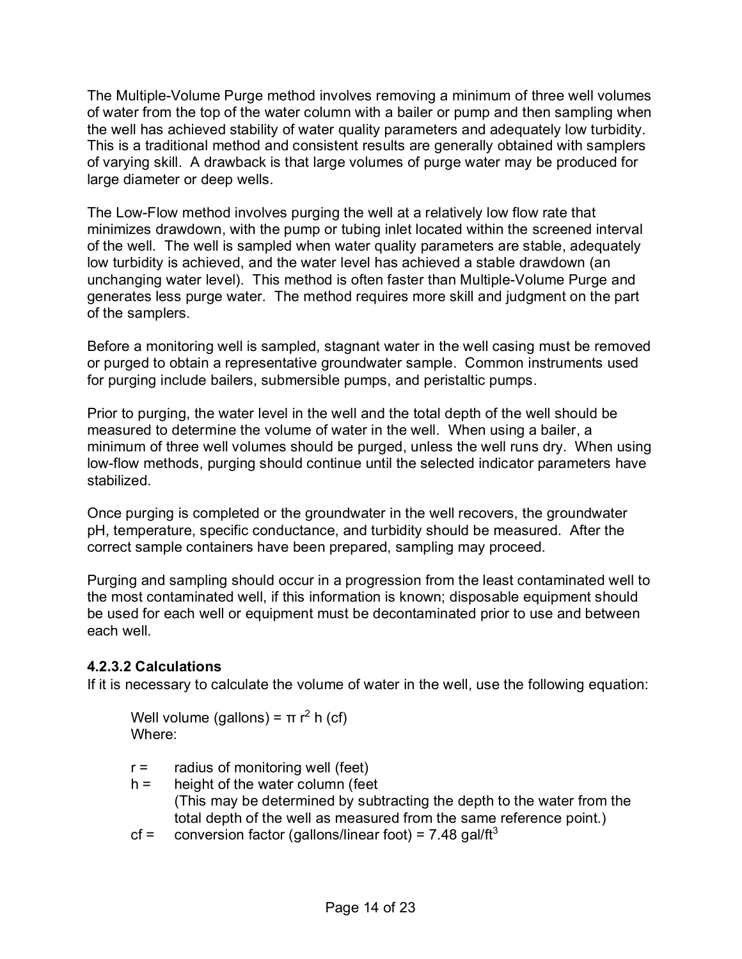The Multiple-Volume Purge method involves removing a minimum of three well volumes of water from the top of the water column with a bailer or pump and then sampling when the well has achieved stability of water quality parameters and adequately low turbidity. This is a traditional method and consistent results are generally obtained with samplers of varying skill. A drawback is that large volumes of purge water may be produced for large diameter or deep wells.

The Low-Flow method involves purging the well at a relatively low flow rate that minimizes drawdown, with the pump or tubing inlet located within the screened interval of the well. The well is sampled when water quality parameters are stable, adequately low turbidity is achieved, and the water level has achieved a stable drawdown (an unchanging water level). This method is often faster than Multiple-Volume Purge and generates less purge water. The method requires more skill and judgment on the part of the samplers.

Before a monitoring well is sampled, stagnant water in the well casing must be removed or purged to obtain a representative groundwater sample. Common instruments used for purging include bailers, submersible pumps, and peristaltic pumps.

Prior to purging, the water level in the well and the total depth of the well should be measured to determine the volume of water in the well. When using a bailer, a minimum of three well volumes should be purged, unless the well runs dry. When using low-flow methods, purging should continue until the selected indicator parameters have stabilized.

Once purging is completed or the groundwater in the well recovers, the groundwater pH, temperature, specific conductance, and turbidity should be measured. After the correct sample containers have been prepared, sampling may proceed.

Purging and sampling should occur in a progression from the least contaminated well to the most contaminated well, if this information is known; disposable equipment should be used for each well or equipment must be decontaminated prior to use and between each well.

#### **4.2.3.2 Calculations**

If it is necessary to calculate the volume of water in the well, use the following equation:

Well volume (gallons) =  $\pi r^2$  h (cf) Where:

- $r =$  radius of monitoring well (feet)
- $h =$  height of the water column (feet (This may be determined by subtracting the depth to the water from the total depth of the well as measured from the same reference point.)
- cf = conversion factor (gallons/linear foot) = 7.48 gal/ft<sup>3</sup>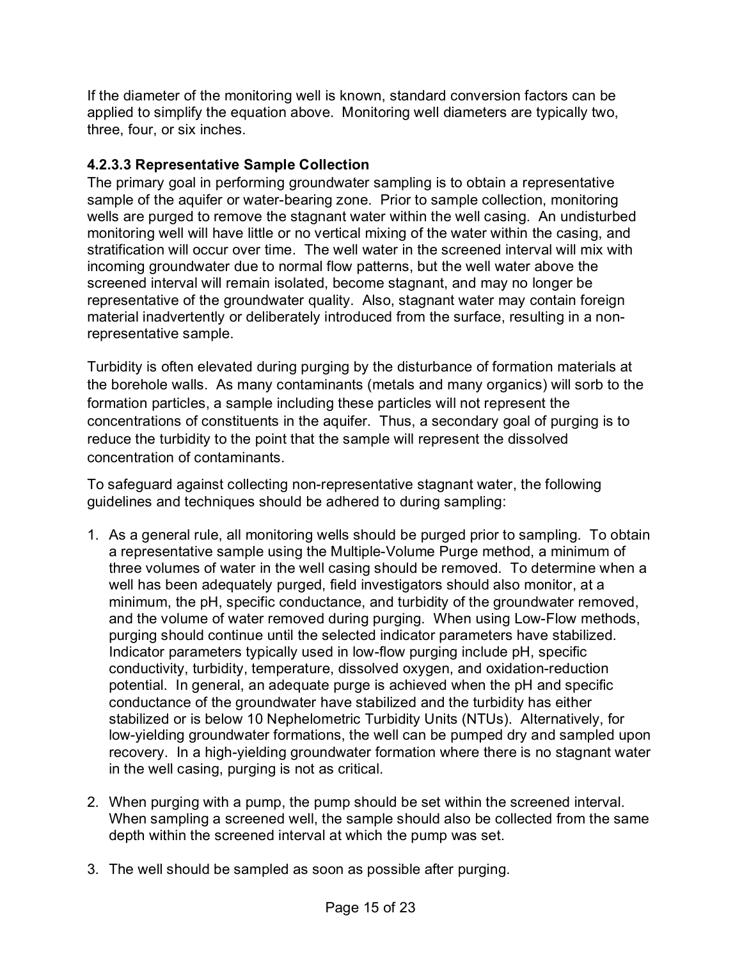If the diameter of the monitoring well is known, standard conversion factors can be applied to simplify the equation above. Monitoring well diameters are typically two, three, four, or six inches.

## **4.2.3.3 Representative Sample Collection**

The primary goal in performing groundwater sampling is to obtain a representative sample of the aquifer or water-bearing zone. Prior to sample collection, monitoring wells are purged to remove the stagnant water within the well casing. An undisturbed monitoring well will have little or no vertical mixing of the water within the casing, and stratification will occur over time. The well water in the screened interval will mix with incoming groundwater due to normal flow patterns, but the well water above the screened interval will remain isolated, become stagnant, and may no longer be representative of the groundwater quality. Also, stagnant water may contain foreign material inadvertently or deliberately introduced from the surface, resulting in a nonrepresentative sample.

Turbidity is often elevated during purging by the disturbance of formation materials at the borehole walls. As many contaminants (metals and many organics) will sorb to the formation particles, a sample including these particles will not represent the concentrations of constituents in the aquifer. Thus, a secondary goal of purging is to reduce the turbidity to the point that the sample will represent the dissolved concentration of contaminants.

To safeguard against collecting non-representative stagnant water, the following guidelines and techniques should be adhered to during sampling:

- 1. As a general rule, all monitoring wells should be purged prior to sampling. To obtain a representative sample using the Multiple-Volume Purge method, a minimum of three volumes of water in the well casing should be removed. To determine when a well has been adequately purged, field investigators should also monitor, at a minimum, the pH, specific conductance, and turbidity of the groundwater removed, and the volume of water removed during purging. When using Low-Flow methods, purging should continue until the selected indicator parameters have stabilized. Indicator parameters typically used in low-flow purging include pH, specific conductivity, turbidity, temperature, dissolved oxygen, and oxidation-reduction potential. In general, an adequate purge is achieved when the pH and specific conductance of the groundwater have stabilized and the turbidity has either stabilized or is below 10 Nephelometric Turbidity Units (NTUs). Alternatively, for low-yielding groundwater formations, the well can be pumped dry and sampled upon recovery. In a high-yielding groundwater formation where there is no stagnant water in the well casing, purging is not as critical.
- 2. When purging with a pump, the pump should be set within the screened interval. When sampling a screened well, the sample should also be collected from the same depth within the screened interval at which the pump was set.
- 3. The well should be sampled as soon as possible after purging.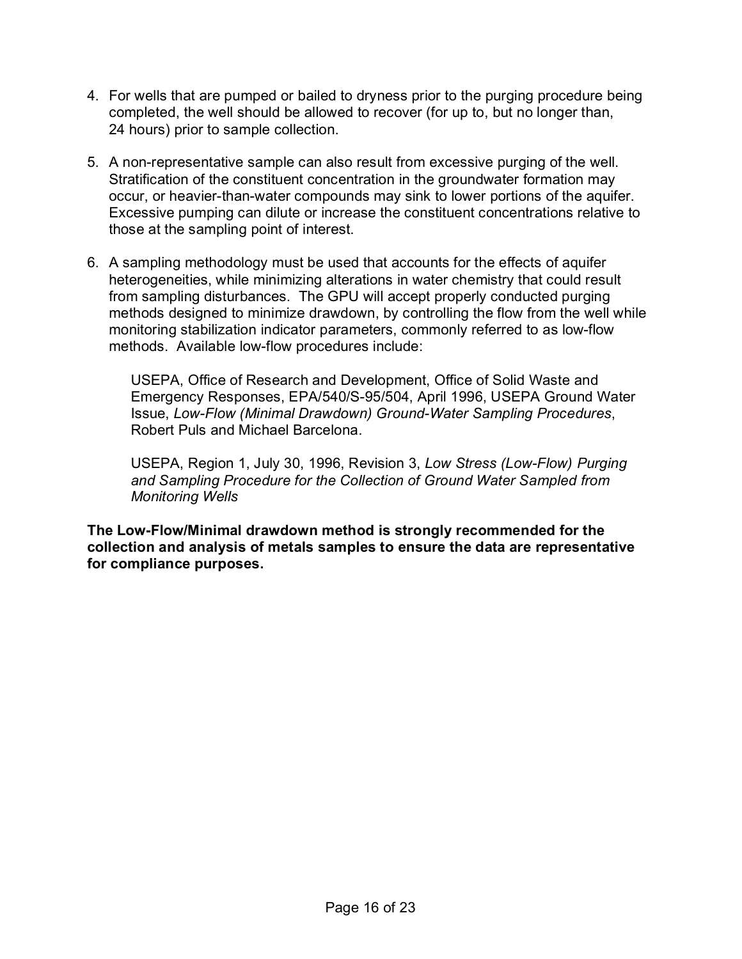- 4. For wells that are pumped or bailed to dryness prior to the purging procedure being completed, the well should be allowed to recover (for up to, but no longer than, 24 hours) prior to sample collection.
- 5. A non-representative sample can also result from excessive purging of the well. Stratification of the constituent concentration in the groundwater formation may occur, or heavier-than-water compounds may sink to lower portions of the aquifer. Excessive pumping can dilute or increase the constituent concentrations relative to those at the sampling point of interest.
- 6. A sampling methodology must be used that accounts for the effects of aquifer heterogeneities, while minimizing alterations in water chemistry that could result from sampling disturbances. The GPU will accept properly conducted purging methods designed to minimize drawdown, by controlling the flow from the well while monitoring stabilization indicator parameters, commonly referred to as low-flow methods. Available low-flow procedures include:

USEPA, Office of Research and Development, Office of Solid Waste and Emergency Responses, EPA/540/S-95/504, April 1996, USEPA Ground Water Issue, *Low-Flow (Minimal Drawdown) Ground-Water Sampling Procedures*, Robert Puls and Michael Barcelona.

USEPA, Region 1, July 30, 1996, Revision 3, *Low Stress (Low-Flow) Purging and Sampling Procedure for the Collection of Ground Water Sampled from Monitoring Wells*

**The Low-Flow/Minimal drawdown method is strongly recommended for the collection and analysis of metals samples to ensure the data are representative for compliance purposes.**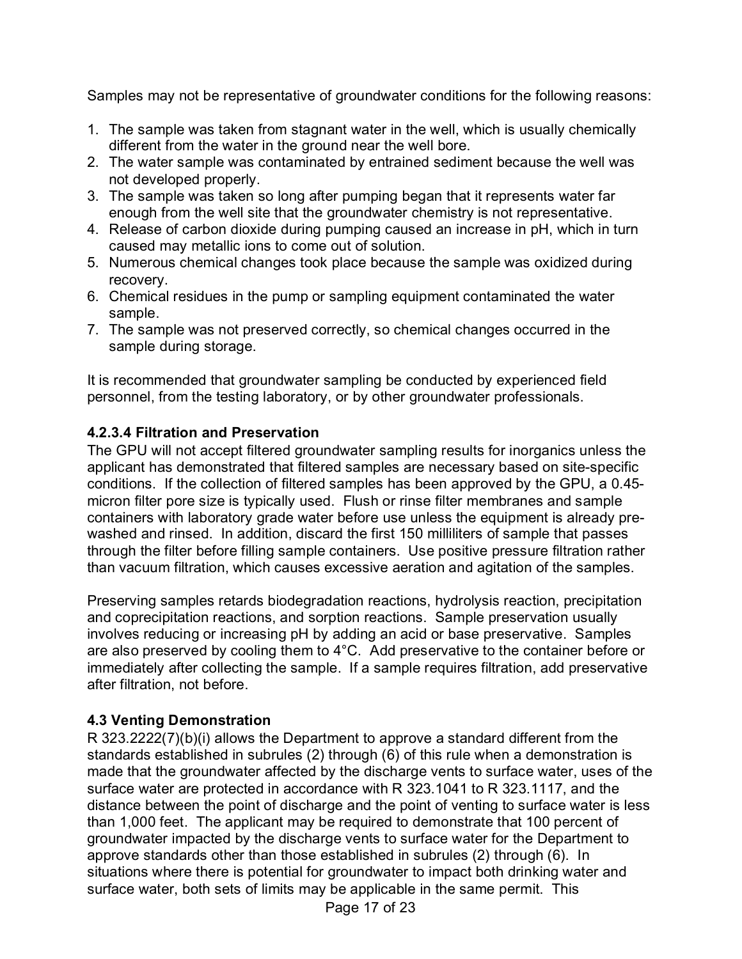Samples may not be representative of groundwater conditions for the following reasons:

- 1. The sample was taken from stagnant water in the well, which is usually chemically different from the water in the ground near the well bore.
- 2. The water sample was contaminated by entrained sediment because the well was not developed properly.
- 3. The sample was taken so long after pumping began that it represents water far enough from the well site that the groundwater chemistry is not representative.
- 4. Release of carbon dioxide during pumping caused an increase in pH, which in turn caused may metallic ions to come out of solution.
- 5. Numerous chemical changes took place because the sample was oxidized during recovery.
- 6. Chemical residues in the pump or sampling equipment contaminated the water sample.
- 7. The sample was not preserved correctly, so chemical changes occurred in the sample during storage.

It is recommended that groundwater sampling be conducted by experienced field personnel, from the testing laboratory, or by other groundwater professionals.

## **4.2.3.4 Filtration and Preservation**

The GPU will not accept filtered groundwater sampling results for inorganics unless the applicant has demonstrated that filtered samples are necessary based on site-specific conditions. If the collection of filtered samples has been approved by the GPU, a 0.45 micron filter pore size is typically used. Flush or rinse filter membranes and sample containers with laboratory grade water before use unless the equipment is already prewashed and rinsed. In addition, discard the first 150 milliliters of sample that passes through the filter before filling sample containers. Use positive pressure filtration rather than vacuum filtration, which causes excessive aeration and agitation of the samples.

Preserving samples retards biodegradation reactions, hydrolysis reaction, precipitation and coprecipitation reactions, and sorption reactions. Sample preservation usually involves reducing or increasing pH by adding an acid or base preservative. Samples are also preserved by cooling them to 4°C. Add preservative to the container before or immediately after collecting the sample. If a sample requires filtration, add preservative after filtration, not before.

# <span id="page-16-0"></span>**4.3 Venting Demonstration**

R 323.2222(7)(b)(i) allows the Department to approve a standard different from the standards established in subrules (2) through (6) of this rule when a demonstration is made that the groundwater affected by the discharge vents to surface water, uses of the surface water are protected in accordance with R 323.1041 to R 323.1117, and the distance between the point of discharge and the point of venting to surface water is less than 1,000 feet. The applicant may be required to demonstrate that 100 percent of groundwater impacted by the discharge vents to surface water for the Department to approve standards other than those established in subrules (2) through (6). In situations where there is potential for groundwater to impact both drinking water and surface water, both sets of limits may be applicable in the same permit. This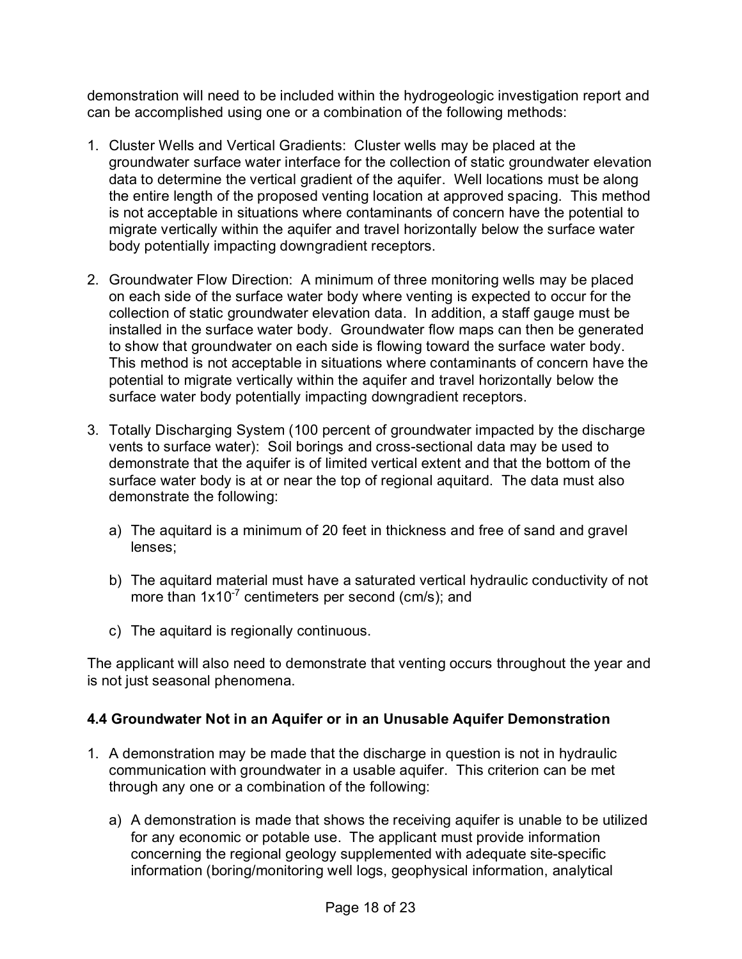demonstration will need to be included within the hydrogeologic investigation report and can be accomplished using one or a combination of the following methods:

- 1. Cluster Wells and Vertical Gradients: Cluster wells may be placed at the groundwater surface water interface for the collection of static groundwater elevation data to determine the vertical gradient of the aquifer. Well locations must be along the entire length of the proposed venting location at approved spacing. This method is not acceptable in situations where contaminants of concern have the potential to migrate vertically within the aquifer and travel horizontally below the surface water body potentially impacting downgradient receptors.
- 2. Groundwater Flow Direction: A minimum of three monitoring wells may be placed on each side of the surface water body where venting is expected to occur for the collection of static groundwater elevation data. In addition, a staff gauge must be installed in the surface water body. Groundwater flow maps can then be generated to show that groundwater on each side is flowing toward the surface water body. This method is not acceptable in situations where contaminants of concern have the potential to migrate vertically within the aquifer and travel horizontally below the surface water body potentially impacting downgradient receptors.
- 3. Totally Discharging System (100 percent of groundwater impacted by the discharge vents to surface water): Soil borings and cross-sectional data may be used to demonstrate that the aquifer is of limited vertical extent and that the bottom of the surface water body is at or near the top of regional aquitard. The data must also demonstrate the following:
	- a) The aquitard is a minimum of 20 feet in thickness and free of sand and gravel lenses;
	- b) The aquitard material must have a saturated vertical hydraulic conductivity of not more than  $1x10^{-7}$  centimeters per second (cm/s); and
	- c) The aquitard is regionally continuous.

The applicant will also need to demonstrate that venting occurs throughout the year and is not just seasonal phenomena.

#### <span id="page-17-0"></span>**4.4 Groundwater Not in an Aquifer or in an Unusable Aquifer Demonstration**

- 1. A demonstration may be made that the discharge in question is not in hydraulic communication with groundwater in a usable aquifer. This criterion can be met through any one or a combination of the following:
	- a) A demonstration is made that shows the receiving aquifer is unable to be utilized for any economic or potable use. The applicant must provide information concerning the regional geology supplemented with adequate site-specific information (boring/monitoring well logs, geophysical information, analytical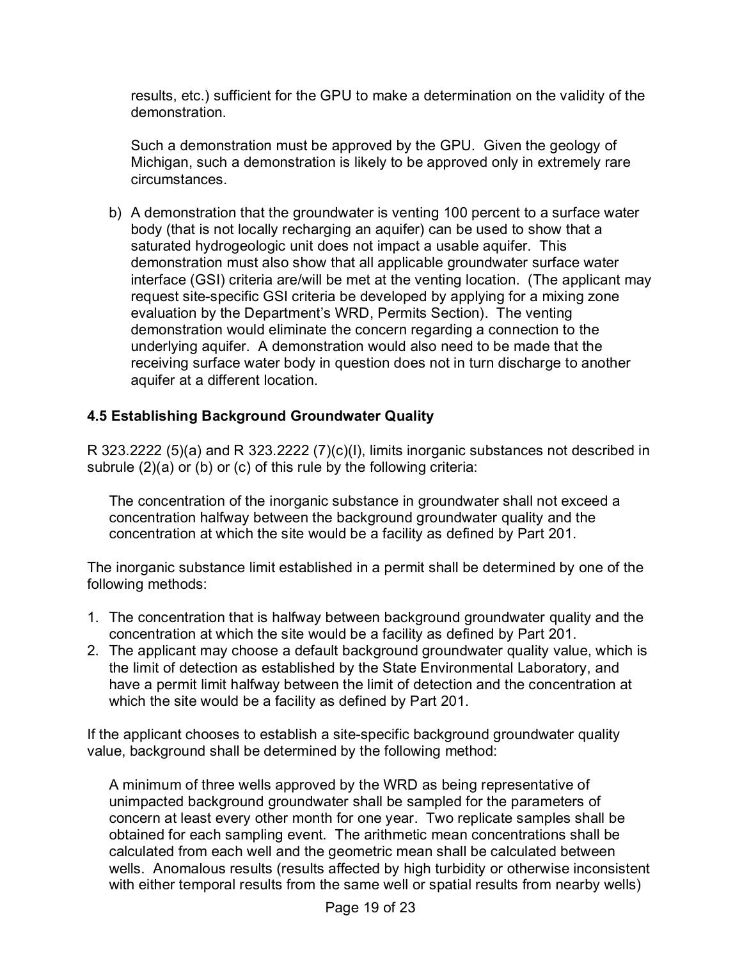results, etc.) sufficient for the GPU to make a determination on the validity of the demonstration.

Such a demonstration must be approved by the GPU. Given the geology of Michigan, such a demonstration is likely to be approved only in extremely rare circumstances.

b) A demonstration that the groundwater is venting 100 percent to a surface water body (that is not locally recharging an aquifer) can be used to show that a saturated hydrogeologic unit does not impact a usable aquifer. This demonstration must also show that all applicable groundwater surface water interface (GSI) criteria are/will be met at the venting location. (The applicant may request site-specific GSI criteria be developed by applying for a mixing zone evaluation by the Department's WRD, Permits Section). The venting demonstration would eliminate the concern regarding a connection to the underlying aquifer. A demonstration would also need to be made that the receiving surface water body in question does not in turn discharge to another aquifer at a different location.

## <span id="page-18-0"></span>**4.5 Establishing Background Groundwater Quality**

R 323.2222 (5)(a) and R 323.2222 (7)(c)(I), limits inorganic substances not described in subrule (2)(a) or (b) or (c) of this rule by the following criteria:

The concentration of the inorganic substance in groundwater shall not exceed a concentration halfway between the background groundwater quality and the concentration at which the site would be a facility as defined by Part 201.

The inorganic substance limit established in a permit shall be determined by one of the following methods:

- 1. The concentration that is halfway between background groundwater quality and the concentration at which the site would be a facility as defined by Part 201.
- 2. The applicant may choose a default background groundwater quality value, which is the limit of detection as established by the State Environmental Laboratory, and have a permit limit halfway between the limit of detection and the concentration at which the site would be a facility as defined by Part 201.

If the applicant chooses to establish a site-specific background groundwater quality value, background shall be determined by the following method:

A minimum of three wells approved by the WRD as being representative of unimpacted background groundwater shall be sampled for the parameters of concern at least every other month for one year. Two replicate samples shall be obtained for each sampling event. The arithmetic mean concentrations shall be calculated from each well and the geometric mean shall be calculated between wells. Anomalous results (results affected by high turbidity or otherwise inconsistent with either temporal results from the same well or spatial results from nearby wells)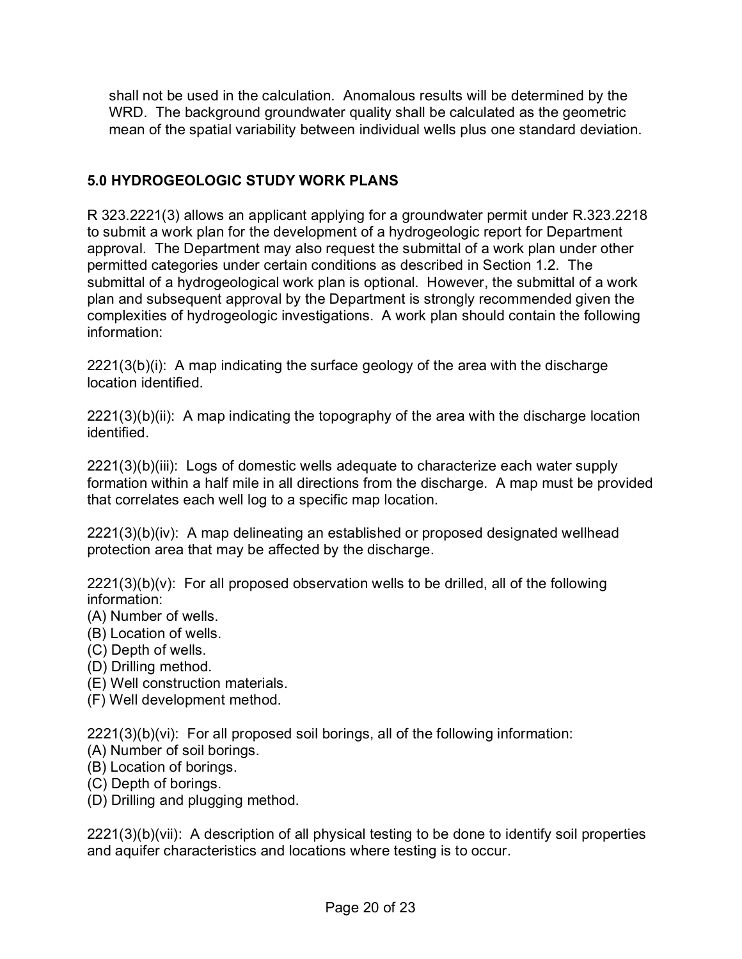shall not be used in the calculation. Anomalous results will be determined by the WRD. The background groundwater quality shall be calculated as the geometric mean of the spatial variability between individual wells plus one standard deviation.

#### <span id="page-19-0"></span>**5.0 HYDROGEOLOGIC STUDY WORK PLANS**

R 323.2221(3) allows an applicant applying for a groundwater permit under R.323.2218 to submit a work plan for the development of a hydrogeologic report for Department approval. The Department may also request the submittal of a work plan under other permitted categories under certain conditions as described in Section 1.2. The submittal of a hydrogeological work plan is optional. However, the submittal of a work plan and subsequent approval by the Department is strongly recommended given the complexities of hydrogeologic investigations. A work plan should contain the following information:

2221(3(b)(i): A map indicating the surface geology of the area with the discharge location identified.

2221(3)(b)(ii): A map indicating the topography of the area with the discharge location identified.

2221(3)(b)(iii): Logs of domestic wells adequate to characterize each water supply formation within a half mile in all directions from the discharge. A map must be provided that correlates each well log to a specific map location.

2221(3)(b)(iv): A map delineating an established or proposed designated wellhead protection area that may be affected by the discharge.

 $2221(3)(b)(v)$ : For all proposed observation wells to be drilled, all of the following information:

- (A) Number of wells.
- (B) Location of wells.
- (C) Depth of wells.
- (D) Drilling method.
- (E) Well construction materials.
- (F) Well development method.

2221(3)(b)(vi): For all proposed soil borings, all of the following information:

- (A) Number of soil borings.
- (B) Location of borings.
- (C) Depth of borings.
- (D) Drilling and plugging method.

2221(3)(b)(vii): A description of all physical testing to be done to identify soil properties and aquifer characteristics and locations where testing is to occur.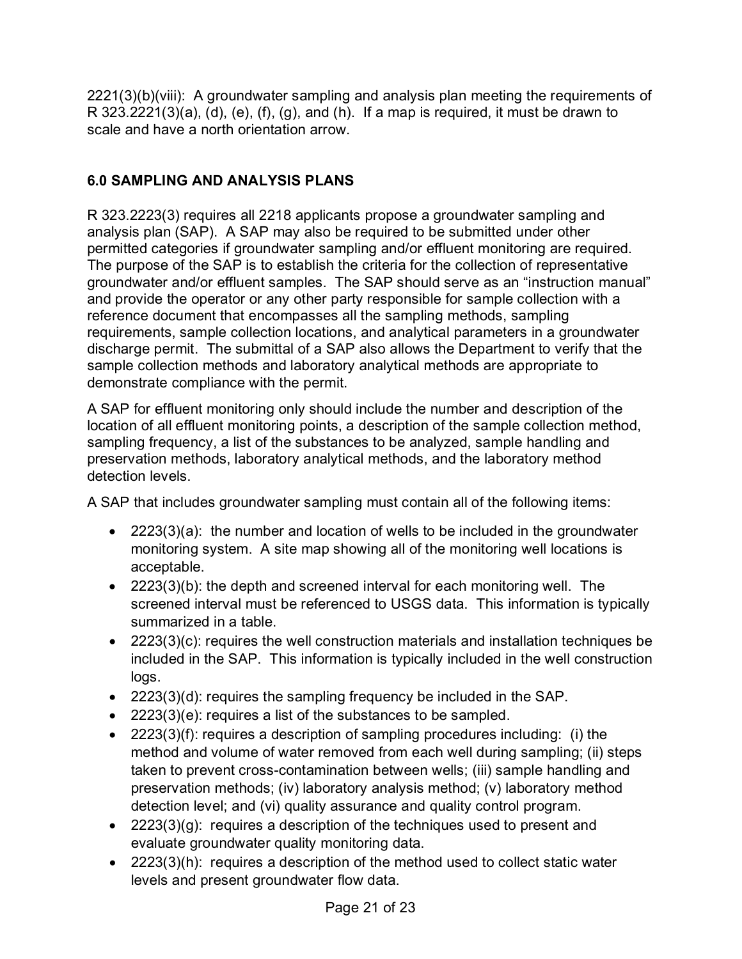2221(3)(b)(viii): A groundwater sampling and analysis plan meeting the requirements of  $R$  323.2221(3)(a), (d), (e), (f), (g), and (h). If a map is required, it must be drawn to scale and have a north orientation arrow.

# <span id="page-20-0"></span>**6.0 SAMPLING AND ANALYSIS PLANS**

R 323.2223(3) requires all 2218 applicants propose a groundwater sampling and analysis plan (SAP). A SAP may also be required to be submitted under other permitted categories if groundwater sampling and/or effluent monitoring are required. The purpose of the SAP is to establish the criteria for the collection of representative groundwater and/or effluent samples. The SAP should serve as an "instruction manual" and provide the operator or any other party responsible for sample collection with a reference document that encompasses all the sampling methods, sampling requirements, sample collection locations, and analytical parameters in a groundwater discharge permit. The submittal of a SAP also allows the Department to verify that the sample collection methods and laboratory analytical methods are appropriate to demonstrate compliance with the permit.

A SAP for effluent monitoring only should include the number and description of the location of all effluent monitoring points, a description of the sample collection method, sampling frequency, a list of the substances to be analyzed, sample handling and preservation methods, laboratory analytical methods, and the laboratory method detection levels.

A SAP that includes groundwater sampling must contain all of the following items:

- 2223(3)(a): the number and location of wells to be included in the groundwater monitoring system. A site map showing all of the monitoring well locations is acceptable.
- 2223(3)(b): the depth and screened interval for each monitoring well. The screened interval must be referenced to USGS data. This information is typically summarized in a table.
- 2223(3)(c): requires the well construction materials and installation techniques be included in the SAP. This information is typically included in the well construction logs.
- 2223(3)(d): requires the sampling frequency be included in the SAP.
- 2223(3)(e): requires a list of the substances to be sampled.
- 2223(3)(f): requires a description of sampling procedures including: (i) the method and volume of water removed from each well during sampling; (ii) steps taken to prevent cross-contamination between wells; (iii) sample handling and preservation methods; (iv) laboratory analysis method; (v) laboratory method detection level; and (vi) quality assurance and quality control program.
- 2223 $(3)(g)$ : requires a description of the techniques used to present and evaluate groundwater quality monitoring data.
- 2223(3)(h): requires a description of the method used to collect static water levels and present groundwater flow data.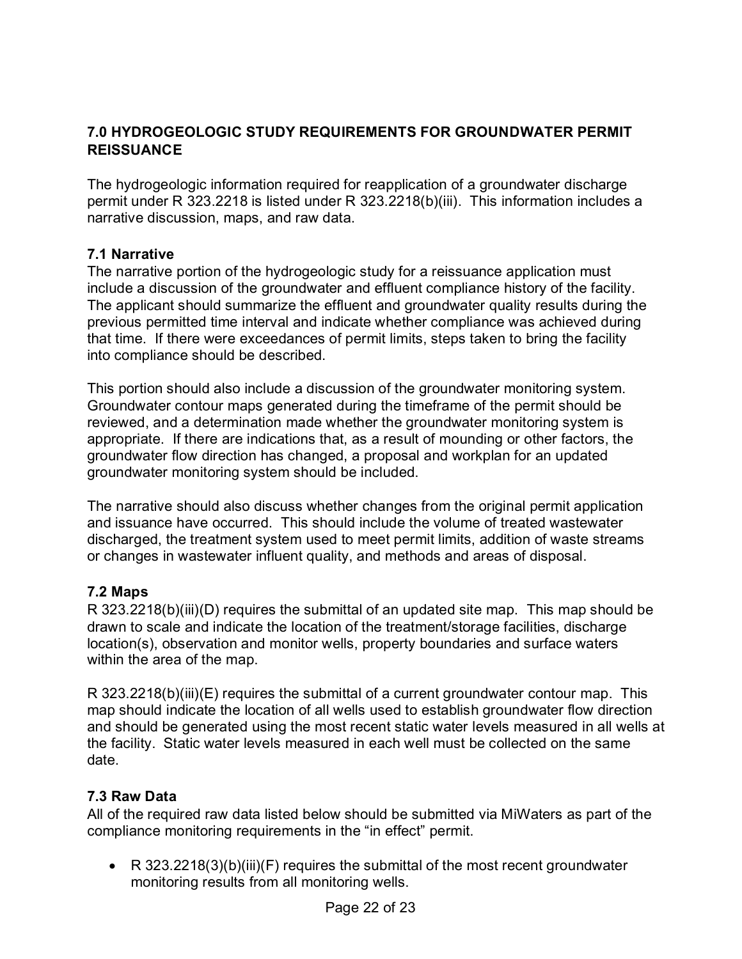### <span id="page-21-0"></span>**7.0 HYDROGEOLOGIC STUDY REQUIREMENTS FOR GROUNDWATER PERMIT REISSUANCE**

The hydrogeologic information required for reapplication of a groundwater discharge permit under R 323.2218 is listed under R 323.2218(b)(iii). This information includes a narrative discussion, maps, and raw data.

#### <span id="page-21-1"></span>**7.1 Narrative**

The narrative portion of the hydrogeologic study for a reissuance application must include a discussion of the groundwater and effluent compliance history of the facility. The applicant should summarize the effluent and groundwater quality results during the previous permitted time interval and indicate whether compliance was achieved during that time. If there were exceedances of permit limits, steps taken to bring the facility into compliance should be described.

This portion should also include a discussion of the groundwater monitoring system. Groundwater contour maps generated during the timeframe of the permit should be reviewed, and a determination made whether the groundwater monitoring system is appropriate. If there are indications that, as a result of mounding or other factors, the groundwater flow direction has changed, a proposal and workplan for an updated groundwater monitoring system should be included.

The narrative should also discuss whether changes from the original permit application and issuance have occurred. This should include the volume of treated wastewater discharged, the treatment system used to meet permit limits, addition of waste streams or changes in wastewater influent quality, and methods and areas of disposal.

#### <span id="page-21-2"></span>**7.2 Maps**

R 323.2218(b)(iii)(D) requires the submittal of an updated site map. This map should be drawn to scale and indicate the location of the treatment/storage facilities, discharge location(s), observation and monitor wells, property boundaries and surface waters within the area of the map.

R 323.2218(b)(iii)(E) requires the submittal of a current groundwater contour map. This map should indicate the location of all wells used to establish groundwater flow direction and should be generated using the most recent static water levels measured in all wells at the facility. Static water levels measured in each well must be collected on the same date.

#### <span id="page-21-3"></span>**7.3 Raw Data**

All of the required raw data listed below should be submitted via MiWaters as part of the compliance monitoring requirements in the "in effect" permit.

• R 323.2218(3)(b)(iii)(F) requires the submittal of the most recent groundwater monitoring results from all monitoring wells.